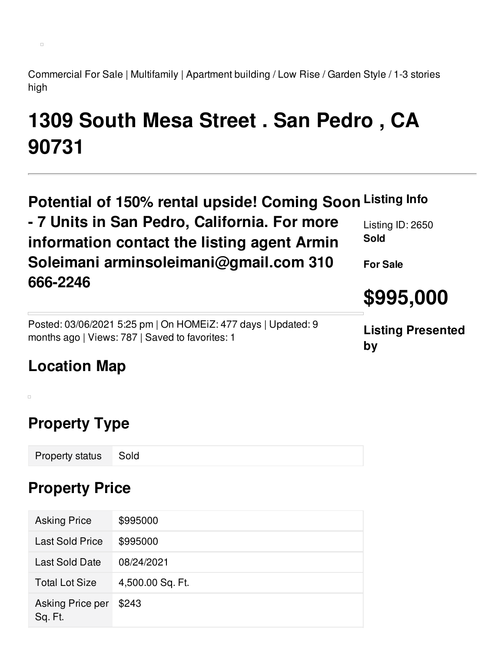Commercial For Sale | Multifamily | Apartment building / Low Rise / Garden Style / 1-3 stories high

# **1309 South Mesa Street . San Pedro , CA 90731**

| Potential of 150% rental upside! Coming Soon Listing Info<br>- 7 Units in San Pedro, California. For more<br>information contact the listing agent Armin | Listing ID: 2650<br><b>Sold</b> |
|----------------------------------------------------------------------------------------------------------------------------------------------------------|---------------------------------|
| Soleimani arminsoleimani@gmail.com 310                                                                                                                   | <b>For Sale</b>                 |
| 666-2246                                                                                                                                                 | \$995,000                       |
| Posted: 03/06/2021 5:25 pm   On HOMEIZ: 477 days   Updated: 9<br>months ago   Views: 787   Saved to favorites: 1                                         | <b>Listing Presented</b><br>by  |
| <b>Location Map</b>                                                                                                                                      |                                 |

### **Property Type**

 $\Box$ 

 $\Box$ 

Property status Sold

#### **Property Price**

| <b>Asking Price</b>         | \$995000         |
|-----------------------------|------------------|
| <b>Last Sold Price</b>      | \$995000         |
| Last Sold Date              | 08/24/2021       |
| <b>Total Lot Size</b>       | 4,500.00 Sq. Ft. |
| Asking Price per<br>Sq. Ft. | \$243            |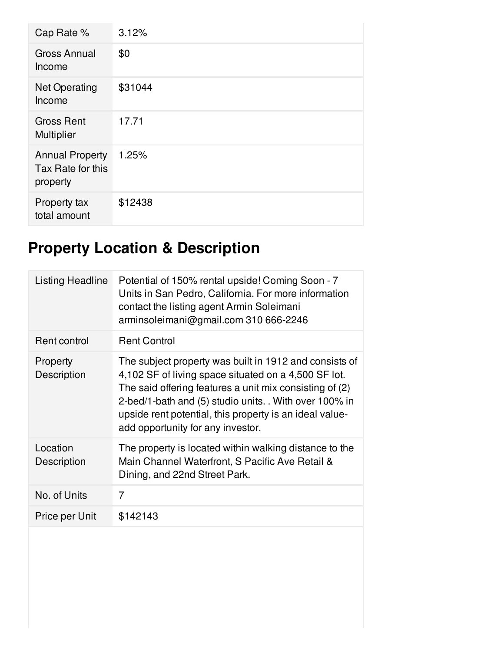| Cap Rate %                                              | 3.12%   |
|---------------------------------------------------------|---------|
| <b>Gross Annual</b><br>Income                           | \$0     |
| <b>Net Operating</b><br>Income                          | \$31044 |
| <b>Gross Rent</b><br><b>Multiplier</b>                  | 17.71   |
| <b>Annual Property</b><br>Tax Rate for this<br>property | 1.25%   |
| Property tax<br>total amount                            | \$12438 |

## **Property Location & Description**

| Listing Headline        | Potential of 150% rental upside! Coming Soon - 7<br>Units in San Pedro, California. For more information<br>contact the listing agent Armin Soleimani<br>arminsoleimani@gmail.com 310 666-2246                                                                                                                                    |
|-------------------------|-----------------------------------------------------------------------------------------------------------------------------------------------------------------------------------------------------------------------------------------------------------------------------------------------------------------------------------|
| Rent control            | <b>Rent Control</b>                                                                                                                                                                                                                                                                                                               |
| Property<br>Description | The subject property was built in 1912 and consists of<br>4,102 SF of living space situated on a 4,500 SF lot.<br>The said offering features a unit mix consisting of (2)<br>2-bed/1-bath and (5) studio units. With over 100% in<br>upside rent potential, this property is an ideal value-<br>add opportunity for any investor. |
| Location<br>Description | The property is located within walking distance to the<br>Main Channel Waterfront, S Pacific Ave Retail &<br>Dining, and 22nd Street Park.                                                                                                                                                                                        |
| No. of Units            | 7                                                                                                                                                                                                                                                                                                                                 |
| Price per Unit          | \$142143                                                                                                                                                                                                                                                                                                                          |
|                         |                                                                                                                                                                                                                                                                                                                                   |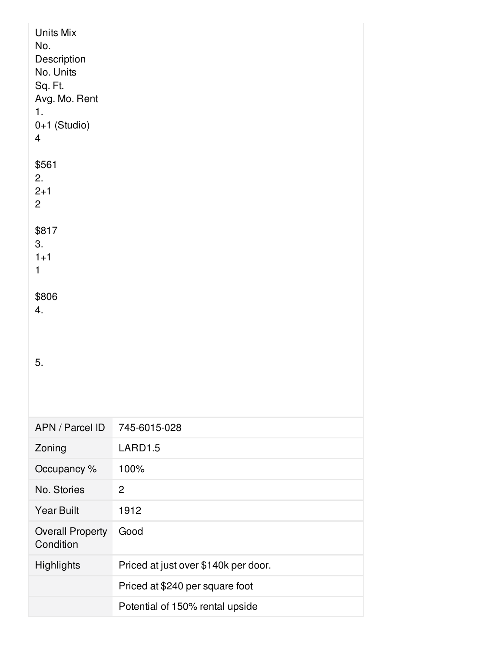| Units Mix<br>No.<br>Description<br>No. Units<br>Sq. Ft.<br>Avg. Mo. Rent<br>1.<br>0+1 (Studio)<br>$\overline{4}$ |                                      |
|------------------------------------------------------------------------------------------------------------------|--------------------------------------|
| \$561<br>2.<br>$2 + 1$<br>$\overline{2}$                                                                         |                                      |
| \$817<br>3.<br>$1 + 1$<br>1                                                                                      |                                      |
| \$806<br>4.                                                                                                      |                                      |
| 5.                                                                                                               |                                      |
| APN / Parcel ID                                                                                                  | 745-6015-028                         |
| Zoning                                                                                                           | LARD1.5                              |
| Occupancy %                                                                                                      | 100%                                 |
| No. Stories                                                                                                      | $\overline{2}$                       |
| <b>Year Built</b>                                                                                                | 1912                                 |
| <b>Overall Property</b><br>Condition                                                                             | Good                                 |
| Highlights                                                                                                       | Priced at just over \$140k per door. |
|                                                                                                                  | Priced at \$240 per square foot      |
|                                                                                                                  | Potential of 150% rental upside      |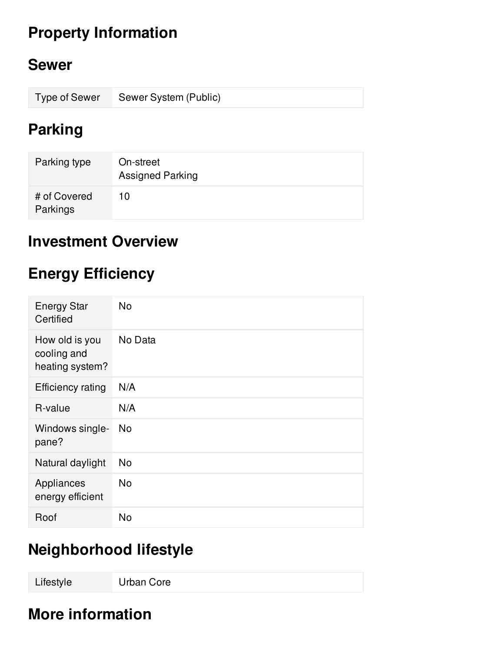## **Property Information**

#### **Sewer**

| Type of Sewer Sewer System (Public) |
|-------------------------------------|
|                                     |

#### **Parking**

| Parking type             | On-street<br><b>Assigned Parking</b> |
|--------------------------|--------------------------------------|
| # of Covered<br>Parkings | 10                                   |

#### **Investment Overview**

## **Energy Efficiency**

| <b>Energy Star</b><br>Certified                  | <b>No</b>      |
|--------------------------------------------------|----------------|
| How old is you<br>cooling and<br>heating system? | No Data        |
| <b>Efficiency rating</b>                         | N/A            |
| R-value                                          | N/A            |
| Windows single-<br>pane?                         | N <sub>o</sub> |
| Natural daylight                                 | N <sub>o</sub> |
| Appliances<br>energy efficient                   | <b>No</b>      |
| Roof                                             | No             |

## **Neighborhood lifestyle**

Lifestyle Urban Core

## **More information**